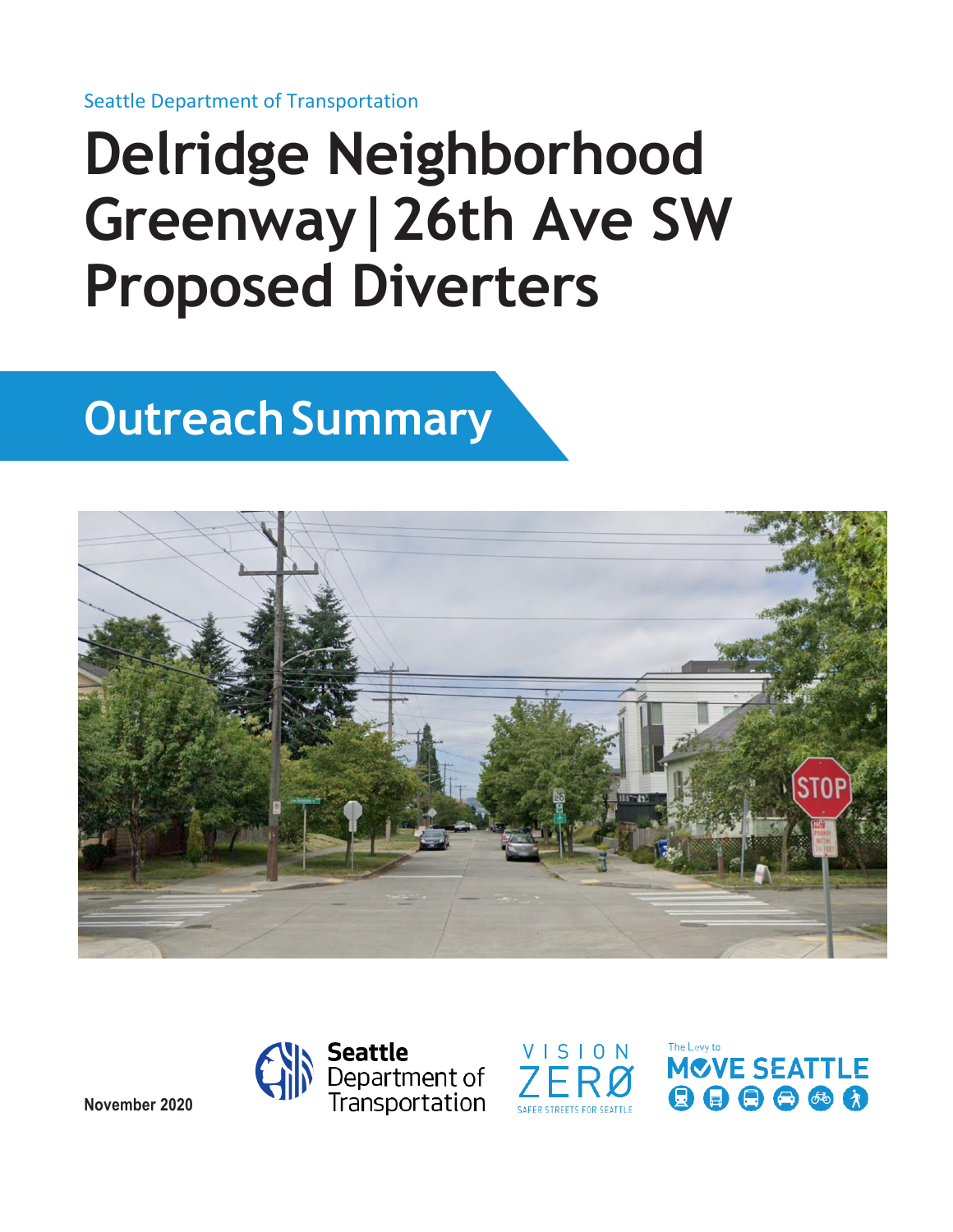Seattle Department of Transportation

# **Delridge Neighborhood Greenway|26th Ave SW Proposed Diverters**

# **Outreach Summary**







The Levy to **MOVE SEATTLE** 000000

**November 2020**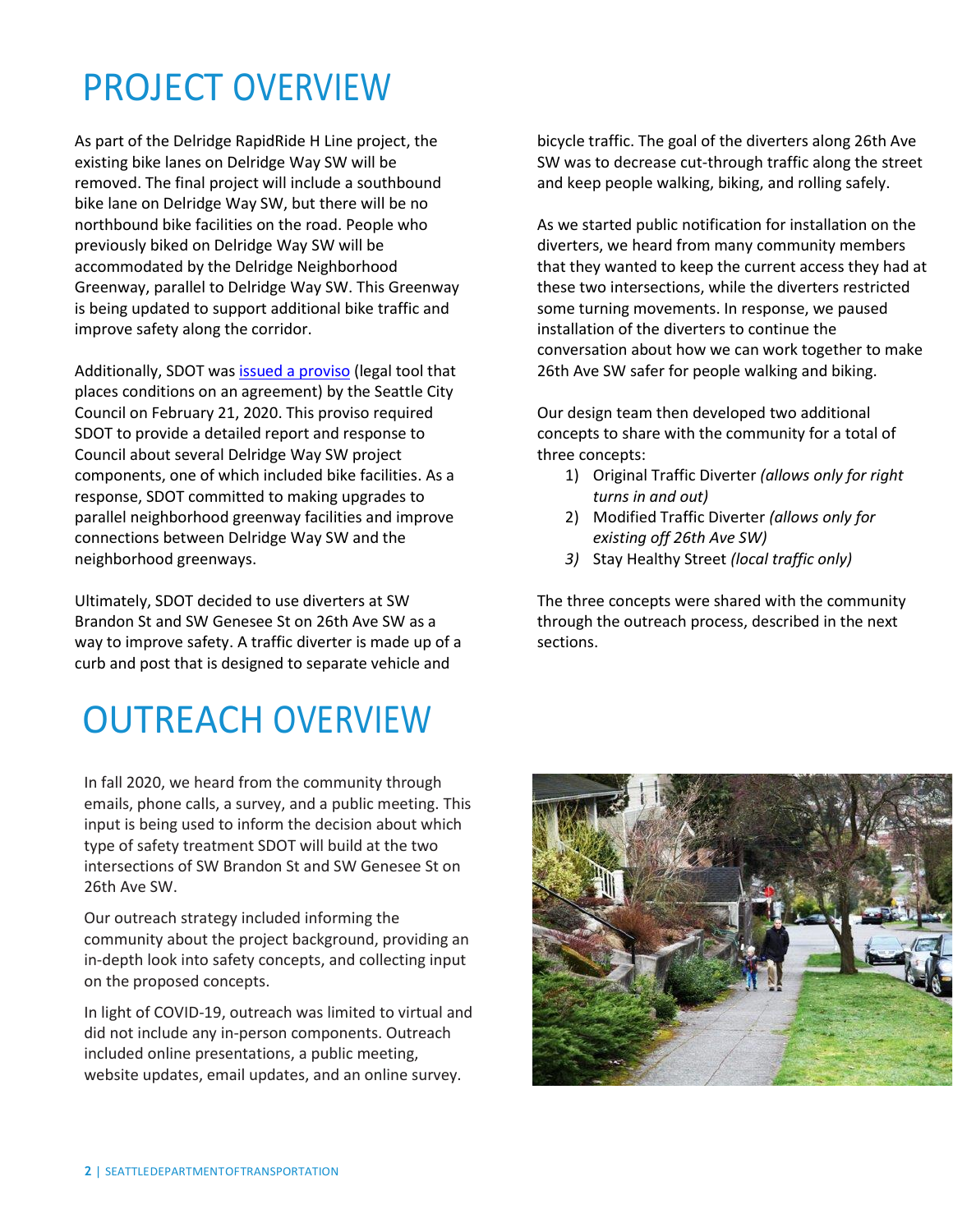### PROJECT OVERVIEW

As part of the Delridge RapidRide H Line project, the existing bike lanes on Delridge Way SW will be removed. The final project will include a southbound bike lane on Delridge Way SW, but there will be no northbound bike facilities on the road. People who previously biked on Delridge Way SW will be accommodated by the Delridge Neighborhood Greenway, parallel to Delridge Way SW. This Greenway is being updated to support additional bike traffic and improve safety along the corridor.

Additionally, SDOT wa[s issued a proviso](http://clerk.seattle.gov/search/results?s1=proviso+delridge&l=200&Sect1=IMAGE&Sect2=THESON&Sect3=PLURON&Sect4=AND&Sect5=LEGI2&Sect6=HITOFF&d=LEGC&p=1&u=%2Fsearch%2Fcombined&r=2&f=G) (legal tool that places conditions on an agreement) by the Seattle City Council on February 21, 2020. This proviso required SDOT to provide a detailed report and response to Council about several Delridge Way SW project components, one of which included bike facilities. As a response, SDOT committed to making upgrades to parallel neighborhood greenway facilities and improve connections between Delridge Way SW and the neighborhood greenways.

Ultimately, SDOT decided to use diverters at SW Brandon St and SW Genesee St on 26th Ave SW as a way to improve safety. A traffic diverter is made up of a curb and post that is designed to separate vehicle and

# OUTREACH OVERVIEW

In fall 2020, we heard from the community through emails, phone calls, a survey, and a public meeting. This input is being used to inform the decision about which type of safety treatment SDOT will build at the two intersections of SW Brandon St and SW Genesee St on 26th Ave SW.

Our outreach strategy included informing the community about the project background, providing an in-depth look into safety concepts, and collecting input on the proposed concepts.

In light of COVID-19, outreach was limited to virtual and did not include any in-person components. Outreach included online presentations, a public meeting, website updates, email updates, and an online survey.

bicycle traffic. The goal of the diverters along 26th Ave SW was to decrease cut-through traffic along the street and keep people walking, biking, and rolling safely.

As we started public notification for installation on the diverters, we heard from many community members that they wanted to keep the current access they had at these two intersections, while the diverters restricted some turning movements. In response, we paused installation of the diverters to continue the conversation about how we can work together to make 26th Ave SW safer for people walking and biking.

Our design team then developed two additional concepts to share with the community for a total of three concepts:

- 1) Original Traffic Diverter *(allows only for right turns in and out)*
- 2) Modified Traffic Diverter *(allows only for existing off 26th Ave SW)*
- *3)* Stay Healthy Street *(local traffic only)*

The three concepts were shared with the community through the outreach process, described in the next sections.

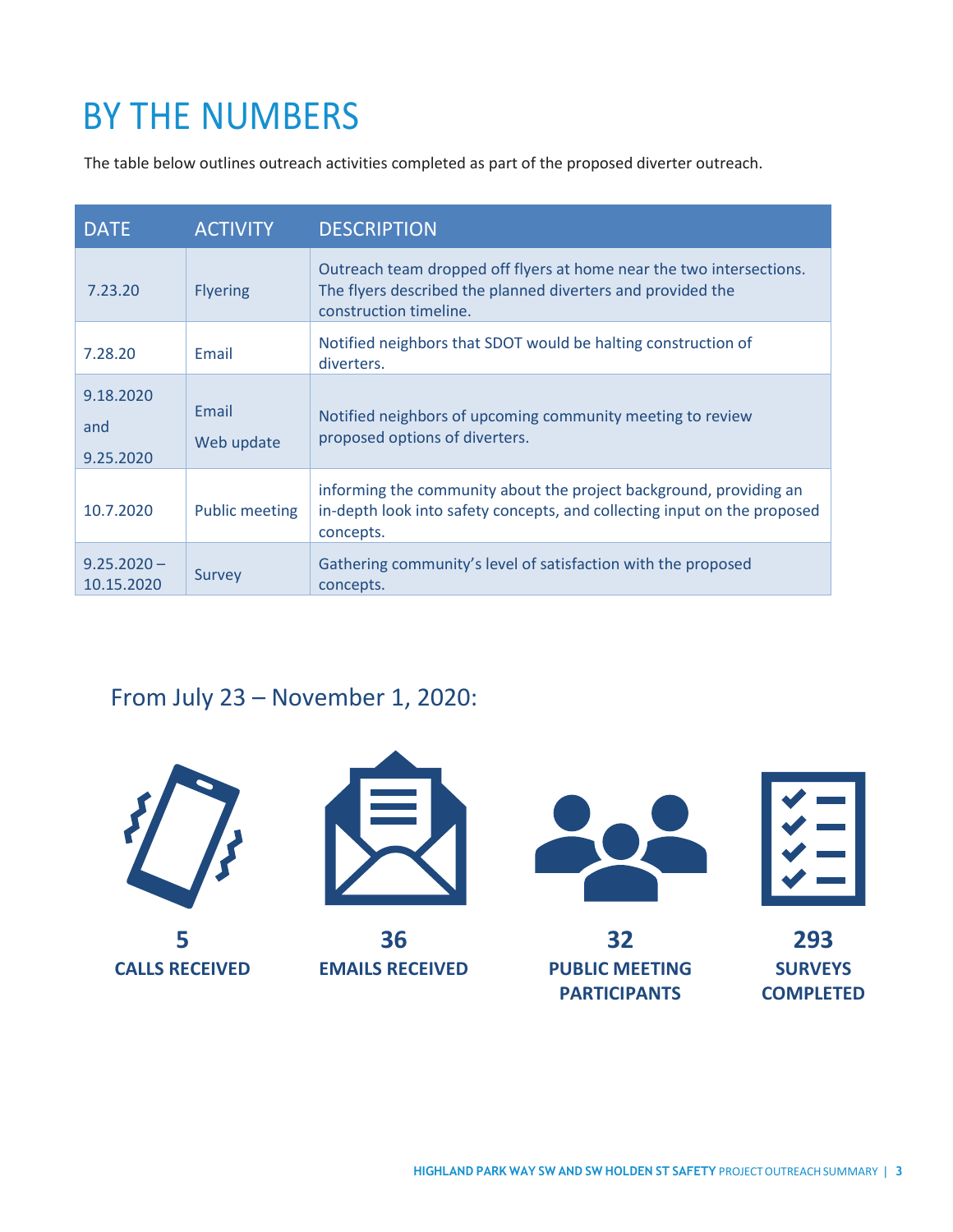## BY THE NUMBERS

The table below outlines outreach activities completed as part of the proposed diverter outreach.

| <b>DATE</b>                   | <b>ACTIVITY</b>       | <b>DESCRIPTION</b>                                                                                                                                            |
|-------------------------------|-----------------------|---------------------------------------------------------------------------------------------------------------------------------------------------------------|
| 7.23.20                       | <b>Flyering</b>       | Outreach team dropped off flyers at home near the two intersections.<br>The flyers described the planned diverters and provided the<br>construction timeline. |
| 7.28.20                       | Email                 | Notified neighbors that SDOT would be halting construction of<br>diverters.                                                                                   |
| 9.18.2020<br>and<br>9.25.2020 | Email<br>Web update   | Notified neighbors of upcoming community meeting to review<br>proposed options of diverters.                                                                  |
| 10.7.2020                     | <b>Public meeting</b> | informing the community about the project background, providing an<br>in-depth look into safety concepts, and collecting input on the proposed<br>concepts.   |
| $9.25.2020 -$<br>10.15.2020   | Survey                | Gathering community's level of satisfaction with the proposed<br>concepts.                                                                                    |

### From July 23 – November 1, 2020:

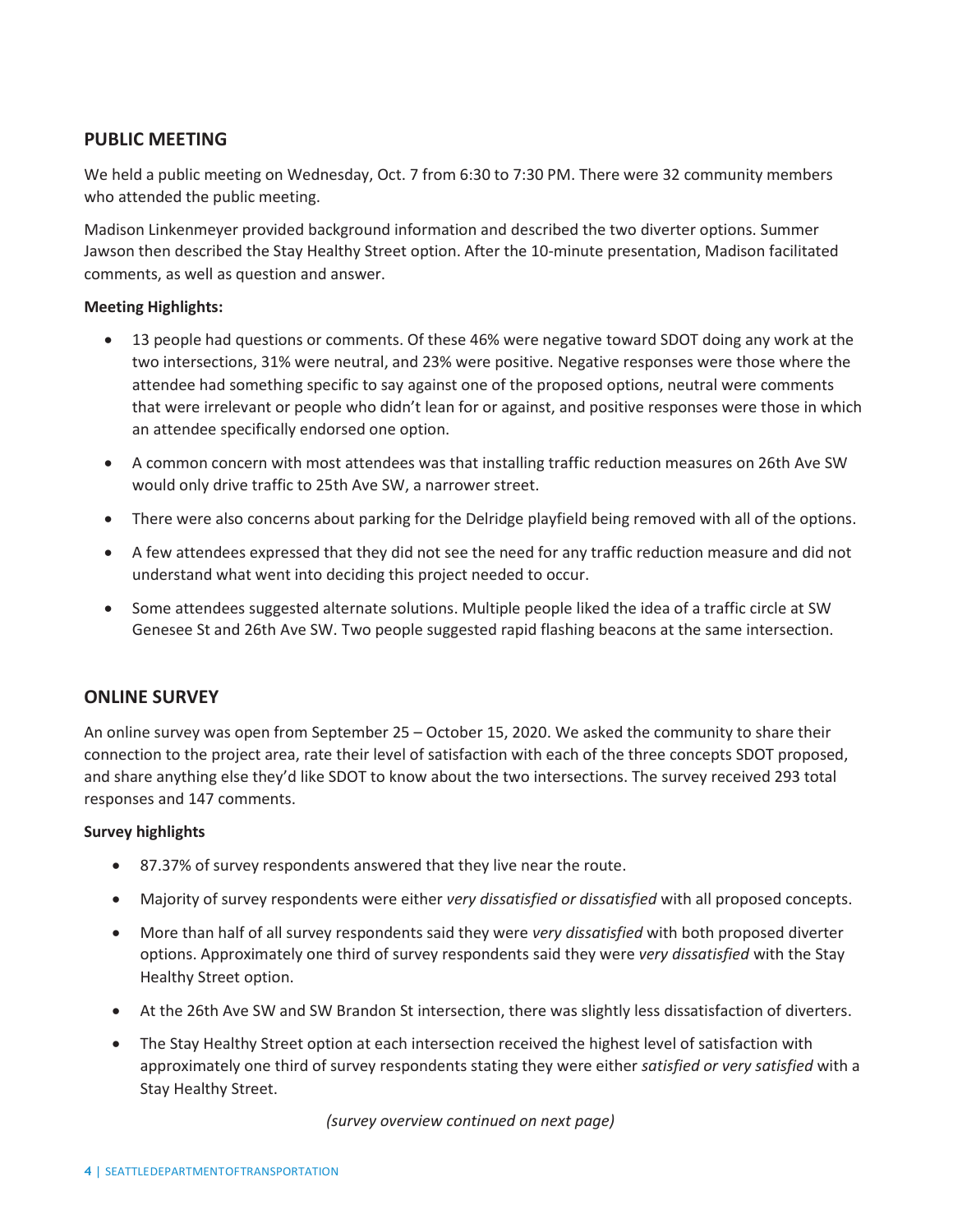#### **PUBLIC MEETING**

We held a public meeting on Wednesday, Oct. 7 from 6:30 to 7:30 PM. There were 32 community members who attended the public meeting.

Madison Linkenmeyer provided background information and described the two diverter options. Summer Jawson then described the Stay Healthy Street option. After the 10-minute presentation, Madison facilitated comments, as well as question and answer.

#### **Meeting Highlights:**

- 13 people had questions or comments. Of these 46% were negative toward SDOT doing any work at the two intersections, 31% were neutral, and 23% were positive. Negative responses were those where the attendee had something specific to say against one of the proposed options, neutral were comments that were irrelevant or people who didn't lean for or against, and positive responses were those in which an attendee specifically endorsed one option.
- A common concern with most attendees was that installing traffic reduction measures on 26th Ave SW would only drive traffic to 25th Ave SW, a narrower street.
- There were also concerns about parking for the Delridge playfield being removed with all of the options.
- A few attendees expressed that they did not see the need for any traffic reduction measure and did not understand what went into deciding this project needed to occur.
- Some attendees suggested alternate solutions. Multiple people liked the idea of a traffic circle at SW Genesee St and 26th Ave SW. Two people suggested rapid flashing beacons at the same intersection.

#### **ONLINE SURVEY**

An online survey was open from September 25 – October 15, 2020. We asked the community to share their connection to the project area, rate their level of satisfaction with each of the three concepts SDOT proposed, and share anything else they'd like SDOT to know about the two intersections. The survey received 293 total responses and 147 comments.

#### **Survey highlights**

- 87.37% of survey respondents answered that they live near the route.
- Majority of survey respondents were either *very dissatisfied or dissatisfied* with all proposed concepts.
- More than half of all survey respondents said they were *very dissatisfied* with both proposed diverter options. Approximately one third of survey respondents said they were *very dissatisfied* with the Stay Healthy Street option.
- At the 26th Ave SW and SW Brandon St intersection, there was slightly less dissatisfaction of diverters.
- The Stay Healthy Street option at each intersection received the highest level of satisfaction with approximately one third of survey respondents stating they were either *satisfied or very satisfied* with a Stay Healthy Street.

*(survey overview continued on next page)*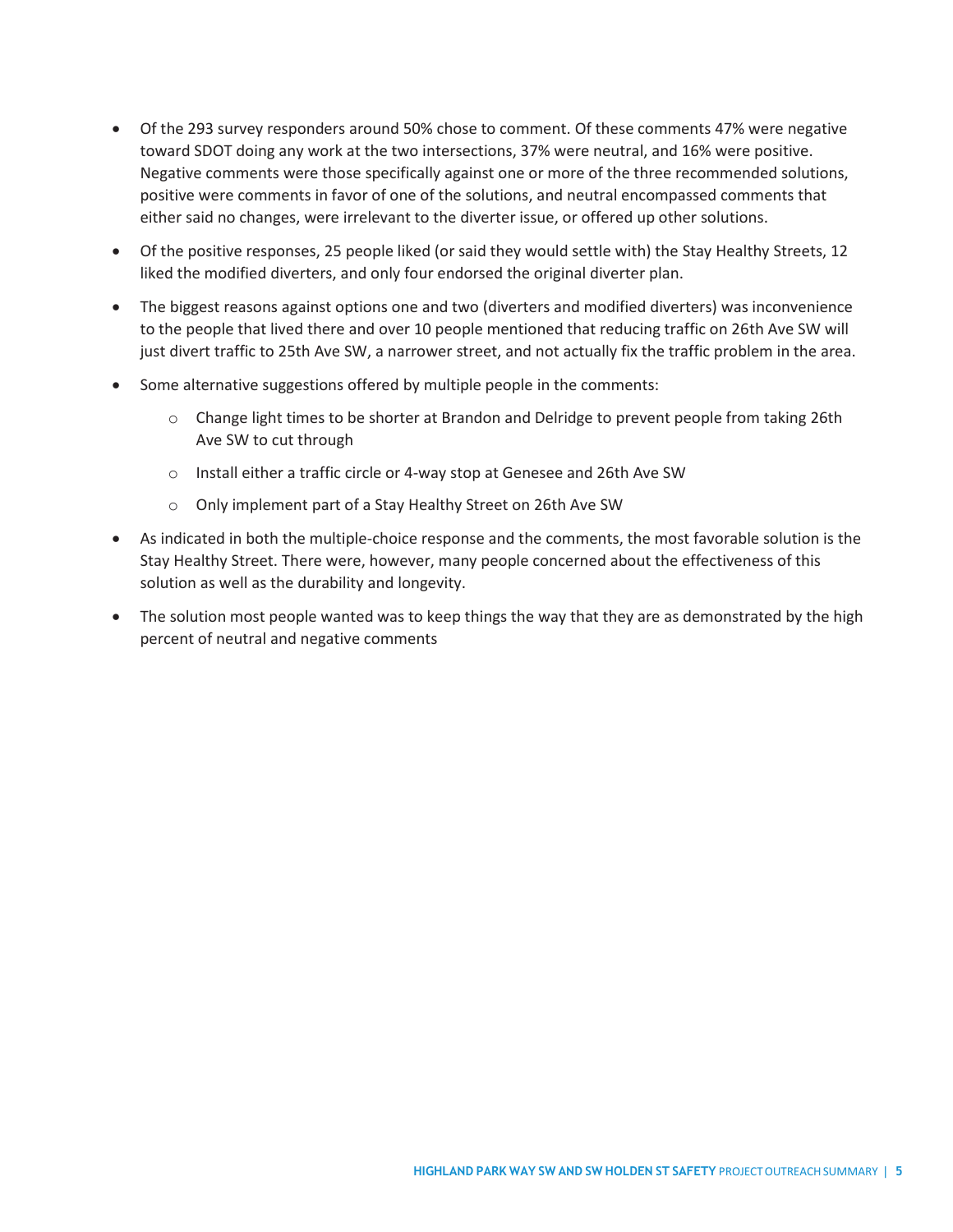- Of the 293 survey responders around 50% chose to comment. Of these comments 47% were negative toward SDOT doing any work at the two intersections, 37% were neutral, and 16% were positive. Negative comments were those specifically against one or more of the three recommended solutions, positive were comments in favor of one of the solutions, and neutral encompassed comments that either said no changes, were irrelevant to the diverter issue, or offered up other solutions.
- Of the positive responses, 25 people liked (or said they would settle with) the Stay Healthy Streets, 12 liked the modified diverters, and only four endorsed the original diverter plan.
- The biggest reasons against options one and two (diverters and modified diverters) was inconvenience to the people that lived there and over 10 people mentioned that reducing traffic on 26th Ave SW will just divert traffic to 25th Ave SW, a narrower street, and not actually fix the traffic problem in the area.
- Some alternative suggestions offered by multiple people in the comments:
	- o Change light times to be shorter at Brandon and Delridge to prevent people from taking 26th Ave SW to cut through
	- o Install either a traffic circle or 4-way stop at Genesee and 26th Ave SW
	- o Only implement part of a Stay Healthy Street on 26th Ave SW
- As indicated in both the multiple-choice response and the comments, the most favorable solution is the Stay Healthy Street. There were, however, many people concerned about the effectiveness of this solution as well as the durability and longevity.
- The solution most people wanted was to keep things the way that they are as demonstrated by the high percent of neutral and negative comments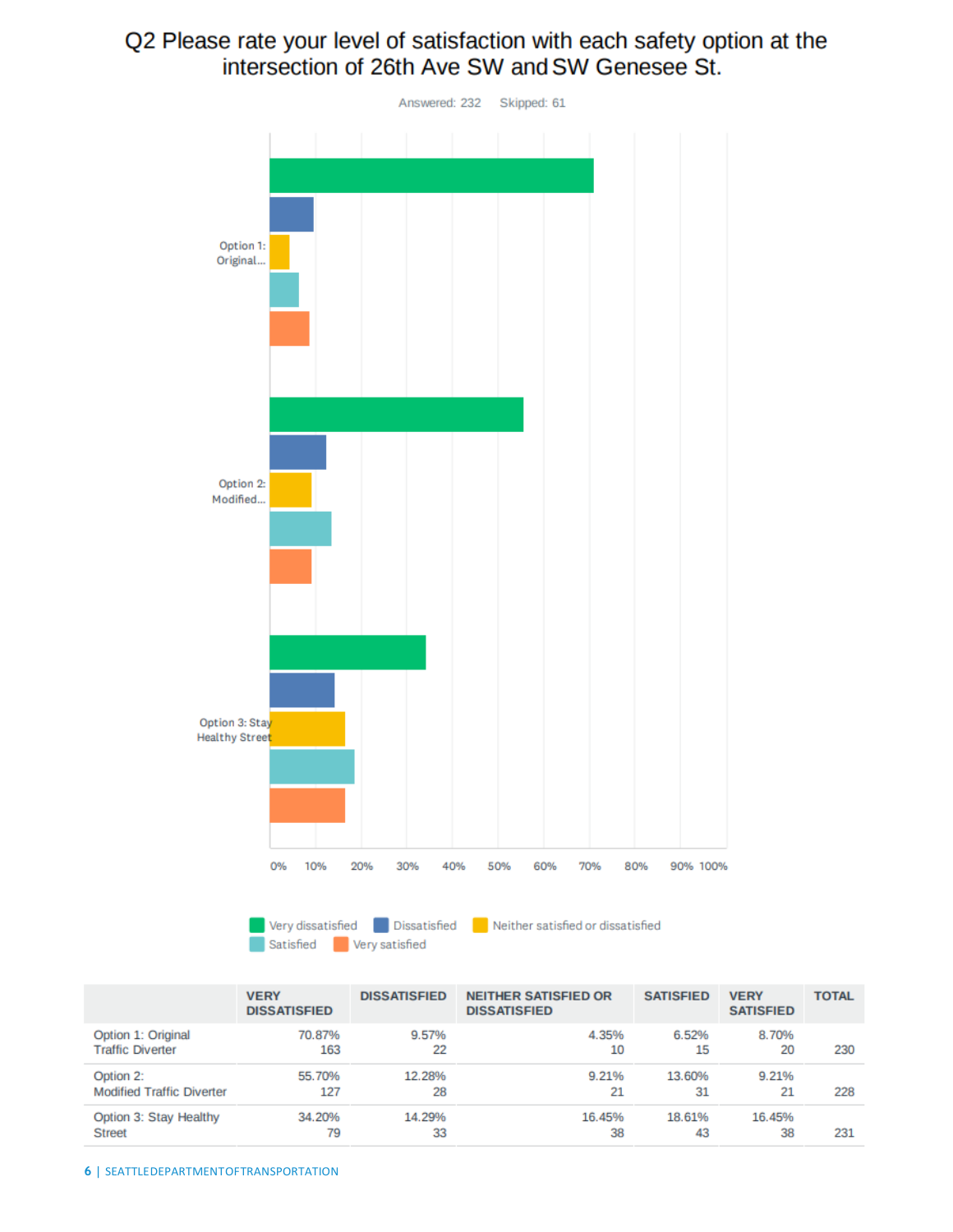### Q2 Please rate your level of satisfaction with each safety option at the intersection of 26th Ave SW and SW Genesee St.



Very dissatisfied Dissatisfied Neither satisfied or dissatisfied Satisfied **Very satisfied** 

|                                  | <b>VERY</b><br><b>DISSATISFIED</b> | <b>DISSATISFIED</b> | <b>NEITHER SATISFIED OR</b><br><b>DISSATISFIED</b> | <b>SATISFIED</b> | <b>VERY</b><br><b>SATISFIED</b> | <b>TOTAL</b> |
|----------------------------------|------------------------------------|---------------------|----------------------------------------------------|------------------|---------------------------------|--------------|
| Option 1: Original               | 70.87%                             | 9.57%               | 4.35%                                              | 6.52%            | 8.70%                           | 230          |
| <b>Traffic Diverter</b>          | 163                                | 22                  | 10                                                 | 15               | 20                              |              |
| Option 2:                        | 55.70%                             | 12.28%              | 9.21%                                              | 13.60%           | 9.21%                           | 228          |
| <b>Modified Traffic Diverter</b> | 127                                | 28                  | 21                                                 | 31               | 21                              |              |
| Option 3: Stay Healthy           | 34.20%                             | 14.29%              | 16.45%                                             | 18.61%           | 16.45%                          | 231          |
| <b>Street</b>                    | 79                                 | 33                  | 38                                                 | 43               | 38                              |              |